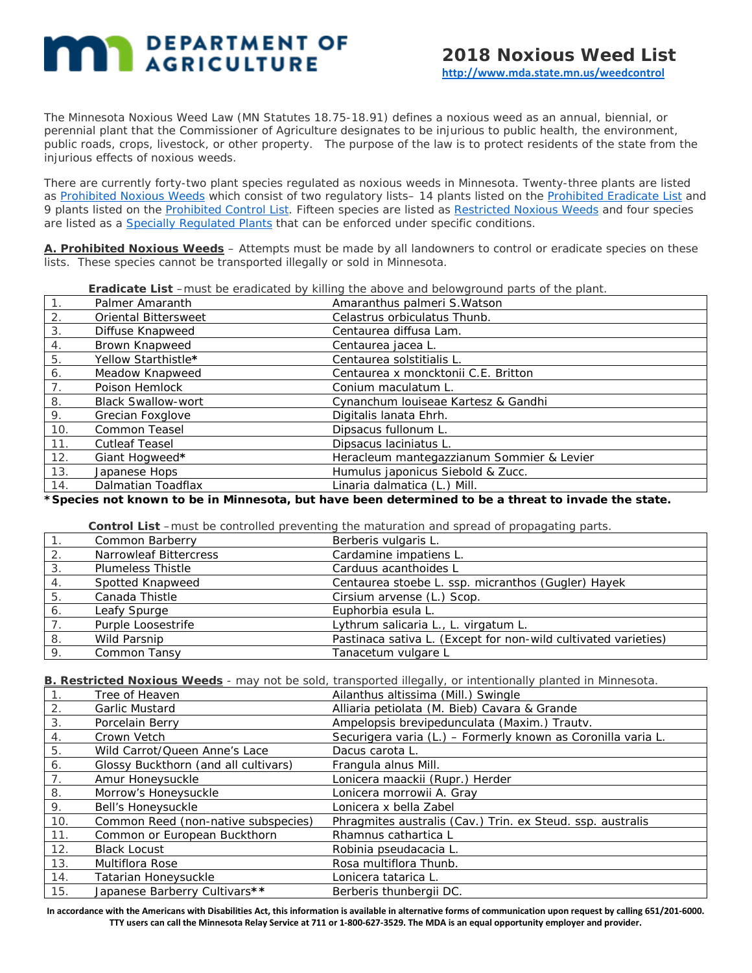# **MAR** DEPARTMENT OF

The Minnesota Noxious Weed Law (MN Statutes 18.75-18.91) defines a noxious weed as an annual, biennial, or perennial plant that the Commissioner of Agriculture designates to be injurious to public health, the environment, public roads, crops, livestock, or other property. The purpose of the law is to protect residents of the state from the injurious effects of noxious weeds.

There are currently forty-two plant species regulated as noxious weeds in Minnesota. Twenty-three plants are listed as [Prohibited Noxious Weeds](http://www.mda.state.mn.us/en/plants/badplants/noxiouslist.aspx) which consist of two regulatory lists– 14 plants listed on the [Prohibited Eradicate List](http://www.mda.state.mn.us/en/plants/badplants/noxiouslist.aspx#eradicate) and 9 plants listed on the [Prohibited Control List.](http://www.mda.state.mn.us/en/plants/badplants/noxiouslist.aspx#controlled) Fifteen species are listed as [Restricted Noxious Weeds](http://www.mda.state.mn.us/en/plants/badplants/noxiouslist.aspx#restricted) and four species are listed as a [Specially Regulated Plants](http://www.mda.state.mn.us/en/plants/badplants/noxiouslist.aspx#specially) that can be enforced under specific conditions.

**A. Prohibited Noxious Weeds** – Attempts must be made by all landowners to control or eradicate species on these lists. These species cannot be transported illegally or sold in Minnesota.

| Eradicate List -must be eradicated by killing the above and belowground parts of the plant. |  |  |  |
|---------------------------------------------------------------------------------------------|--|--|--|
|                                                                                             |  |  |  |

| $\mathbf{1}$ . | Palmer Amaranth             | Amaranthus palmeri S. Watson              |
|----------------|-----------------------------|-------------------------------------------|
| 2.             | <b>Oriental Bittersweet</b> | Celastrus orbiculatus Thunb.              |
| 3.             | Diffuse Knapweed            | Centaurea diffusa Lam.                    |
| 4.             | Brown Knapweed              | Centaurea jacea L.                        |
| 5.             | Yellow Starthistle*         | Centaurea solstitialis L.                 |
| 6.             | Meadow Knapweed             | Centaurea x moncktonii C.E. Britton       |
| 7 <sub>1</sub> | Poison Hemlock              | Conium maculatum L.                       |
| 8.             | <b>Black Swallow-wort</b>   | Cynanchum Iouiseae Kartesz & Gandhi       |
| 9.             | Grecian Foxglove            | Digitalis lanata Ehrh.                    |
| 10.            | <b>Common Teasel</b>        | Dipsacus fullonum L.                      |
| 11.            | <b>Cutleaf Teasel</b>       | Dipsacus Iaciniatus L.                    |
| 12.            | Giant Hogweed*              | Heracleum mantegazzianum Sommier & Levier |
| 13.            | Japanese Hops               | Humulus japonicus Siebold & Zucc.         |
| 14.            | Dalmatian Toadflax          | Linaria dalmatica (L.) Mill.              |

**\*Species not known to be in Minnesota, but have been determined to be a threat to invade the state.**

**Control List** –must be controlled preventing the maturation and spread of propagating parts.

|    | Common Barberry          | Berberis vulgaris L.                                           |
|----|--------------------------|----------------------------------------------------------------|
| 2. | Narrowleaf Bittercress   | Cardamine impatiens L.                                         |
| 3. | <b>Plumeless Thistle</b> | Carduus acanthoides L                                          |
|    | Spotted Knapweed         | Centaurea stoebe L. ssp. micranthos (Gugler) Hayek             |
| 5  | Canada Thistle           | Cirsium arvense (L.) Scop.                                     |
| 6. | Leafy Spurge             | Euphorbia esula L.                                             |
|    | Purple Loosestrife       | Lythrum salicaria L., L. virgatum L.                           |
| 8  | Wild Parsnip             | Pastinaca sativa L. (Except for non-wild cultivated varieties) |
| 9. | Common Tansy             | Tanacetum vulgare L                                            |

**B. Restricted Noxious Weeds** - may not be sold, transported illegally, or intentionally planted in Minnesota.

|     | Tree of Heaven                       | Ailanthus altissima (Mill.) Swingle                          |
|-----|--------------------------------------|--------------------------------------------------------------|
|     | <b>Garlic Mustard</b>                | Alliaria petiolata (M. Bieb) Cavara & Grande                 |
| 3.  | Porcelain Berry                      | Ampelopsis brevipedunculata (Maxim.) Trautv.                 |
| 4.  | Crown Vetch                          | Securigera varia (L.) - Formerly known as Coronilla varia L. |
| 5.  | Wild Carrot/Queen Anne's Lace        | Dacus carota L.                                              |
| 6.  | Glossy Buckthorn (and all cultivars) | Frangula alnus Mill.                                         |
|     | Amur Honeysuckle                     | Lonicera maackii (Rupr.) Herder                              |
| 8.  | Morrow's Honeysuckle                 | Lonicera morrowii A. Gray                                    |
| 9.  | Bell's Honeysuckle                   | Lonicera x bella Zabel                                       |
| 10. | Common Reed (non-native subspecies)  | Phragmites australis (Cav.) Trin. ex Steud. ssp. australis   |
| 11. | Common or European Buckthorn         | Rhamnus cathartica L                                         |
| 12. | <b>Black Locust</b>                  | Robinia pseudacacia L.                                       |
| 13. | Multiflora Rose                      | <i>Rosa multiflora</i> Thunb.                                |
| 14. | Tatarian Honeysuckle                 | Lonicera tatarica L.                                         |
| 15. | Japanese Barberry Cultivars**        | Berberis thunbergii DC.                                      |

**In accordance with the Americans with Disabilities Act, this information is available in alternative forms of communication upon request by calling 651/201-6000. TTY users can call the Minnesota Relay Service at 711 or 1-800-627-3529. The MDA is an equal opportunity employer and provider.**